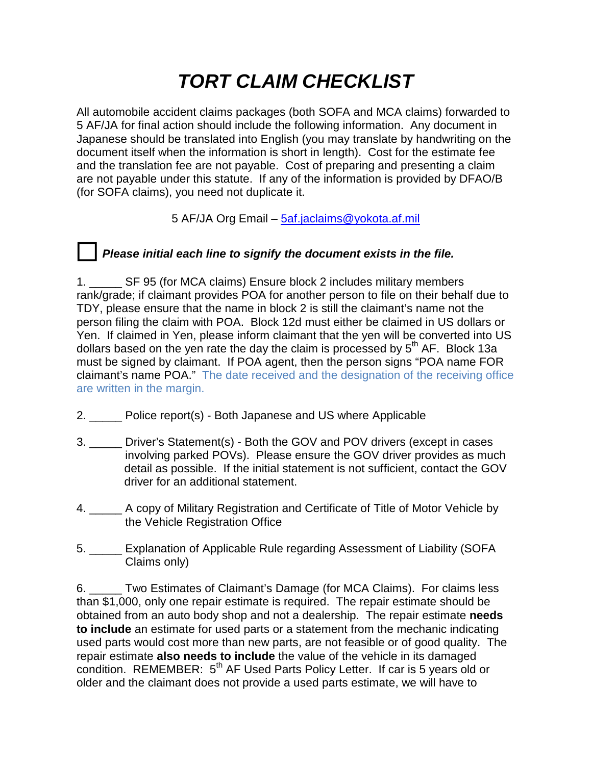## *TORT CLAIM CHECKLIST*

All automobile accident claims packages (both SOFA and MCA claims) forwarded to 5 AF/JA for final action should include the following information. Any document in Japanese should be translated into English (you may translate by handwriting on the document itself when the information is short in length). Cost for the estimate fee and the translation fee are not payable. Cost of preparing and presenting a claim are not payable under this statute. If any of the information is provided by DFAO/B (for SOFA claims), you need not duplicate it.

5 AF/JA Org Email – [5af.jaclaims@yokota.af.mil](mailto:5af.jaclaims@yokota.af.mil)

## *Please initial each line to signify the document exists in the file.*

1. \_\_\_\_\_ SF 95 (for MCA claims) Ensure block 2 includes military members rank/grade; if claimant provides POA for another person to file on their behalf due to TDY, please ensure that the name in block 2 is still the claimant's name not the person filing the claim with POA. Block 12d must either be claimed in US dollars or Yen. If claimed in Yen, please inform claimant that the yen will be converted into US dollars based on the yen rate the day the claim is processed by  $5<sup>th</sup>$  AF. Block 13a must be signed by claimant. If POA agent, then the person signs "POA name FOR claimant's name POA." The date received and the designation of the receiving office are written in the margin.

- 2. \_\_\_\_\_ Police report(s) Both Japanese and US where Applicable
- 3. \_\_\_\_\_ Driver's Statement(s) Both the GOV and POV drivers (except in cases involving parked POVs). Please ensure the GOV driver provides as much detail as possible. If the initial statement is not sufficient, contact the GOV driver for an additional statement.
- 4. \_\_\_\_\_ A copy of Military Registration and Certificate of Title of Motor Vehicle by the Vehicle Registration Office
- 5. \_\_\_\_\_ Explanation of Applicable Rule regarding Assessment of Liability (SOFA Claims only)

6. \_\_\_\_\_ Two Estimates of Claimant's Damage (for MCA Claims). For claims less than \$1,000, only one repair estimate is required. The repair estimate should be obtained from an auto body shop and not a dealership. The repair estimate **needs to include** an estimate for used parts or a statement from the mechanic indicating used parts would cost more than new parts, are not feasible or of good quality. The repair estimate **also needs to include** the value of the vehicle in its damaged condition. REMEMBER: 5<sup>th</sup> AF Used Parts Policy Letter. If car is 5 years old or older and the claimant does not provide a used parts estimate, we will have to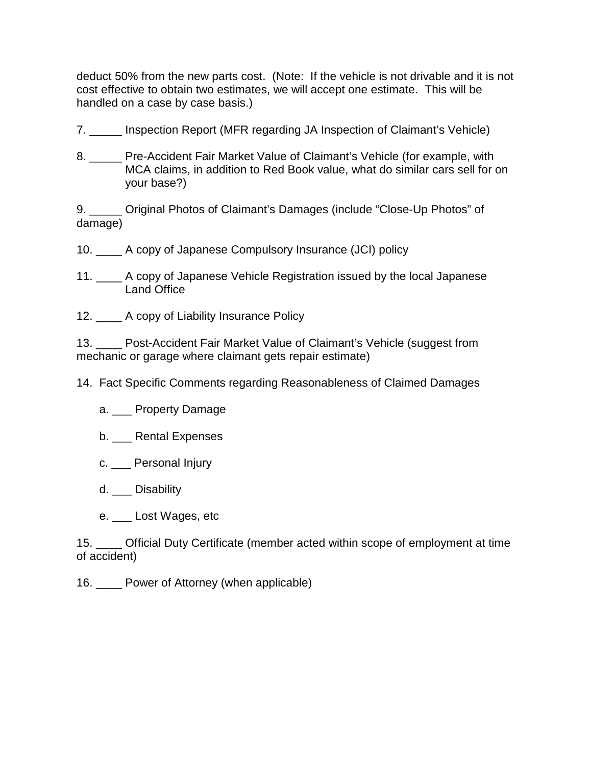deduct 50% from the new parts cost. (Note: If the vehicle is not drivable and it is not cost effective to obtain two estimates, we will accept one estimate. This will be handled on a case by case basis.)

- 7. \_\_\_\_\_ Inspection Report (MFR regarding JA Inspection of Claimant's Vehicle)
- 8. \_\_\_\_\_ Pre-Accident Fair Market Value of Claimant's Vehicle (for example, with MCA claims, in addition to Red Book value, what do similar cars sell for on your base?)

9. \_\_\_\_\_ Original Photos of Claimant's Damages (include "Close-Up Photos" of damage)

- 10. \_\_\_\_ A copy of Japanese Compulsory Insurance (JCI) policy
- 11. \_\_\_\_ A copy of Japanese Vehicle Registration issued by the local Japanese Land Office
- 12. \_\_\_\_ A copy of Liability Insurance Policy

13. Post-Accident Fair Market Value of Claimant's Vehicle (suggest from mechanic or garage where claimant gets repair estimate)

- 14. Fact Specific Comments regarding Reasonableness of Claimed Damages
	- a. Property Damage
	- b. \_\_\_ Rental Expenses
	- c. Personal Injury
	- d. Disability
	- e. Lost Wages, etc

15. \_\_\_\_ Official Duty Certificate (member acted within scope of employment at time of accident)

16. \_\_\_\_ Power of Attorney (when applicable)